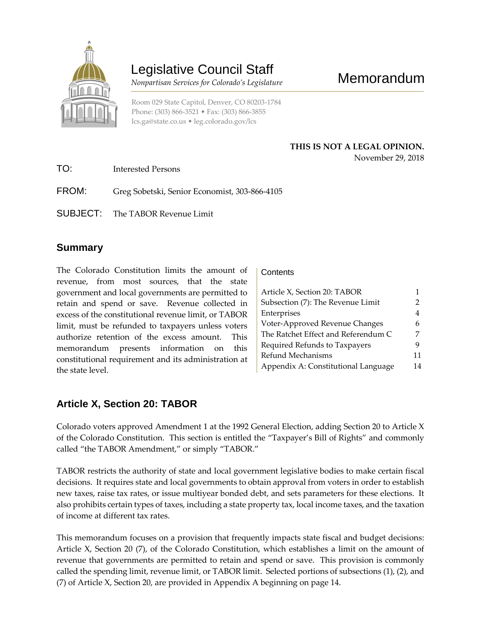

# Legislative Council Staff

 *Nonpartisan Services for Colorado's Legislature*

Room 029 State Capitol, Denver, CO 80203-1784 Phone: (303) 866-3521 • Fax: (303) 866-3855 [lcs.ga@state.co.us](mailto:lcs.ga@state.co.us) • [leg.colorado.gov/lcs](http://leg.colorado.gov/lcs)

### **THIS IS NOT A LEGAL OPINION.** November 29, 2018

TO: Interested Persons FROM: Greg Sobetski, Senior Economist, 303-866-4105

SUBJECT: The TABOR Revenue Limit

## **Summary**

The Colorado Constitution limits the amount of revenue, from most sources, that the state government and local governments are permitted to retain and spend or save. Revenue collected in excess of the constitutional revenue limit, or TABOR limit, must be refunded to taxpayers unless voters authorize retention of the excess amount. This memorandum presents information on this constitutional requirement and its administration at the state level.

### **Contents**

| Article X, Section 20: TABOR        |    |
|-------------------------------------|----|
| Subsection (7): The Revenue Limit   | 2  |
| Enterprises                         | 4  |
| Voter-Approved Revenue Changes      | 6  |
| The Ratchet Effect and Referendum C |    |
| Required Refunds to Taxpayers       | 9  |
| Refund Mechanisms                   | 11 |
| Appendix A: Constitutional Language | 14 |

## **Article X, Section 20: TABOR**

Colorado voters approved Amendment 1 at the 1992 General Election, adding Section 20 to Article X of the Colorado Constitution. This section is entitled the "Taxpayer's Bill of Rights" and commonly called "the TABOR Amendment," or simply "TABOR."

TABOR restricts the authority of state and local government legislative bodies to make certain fiscal decisions. It requires state and local governments to obtain approval from voters in order to establish new taxes, raise tax rates, or issue multiyear bonded debt, and sets parameters for these elections. It also prohibits certain types of taxes, including a state property tax, local income taxes, and the taxation of income at different tax rates.

This memorandum focuses on a provision that frequently impacts state fiscal and budget decisions: Article X, Section 20 (7), of the Colorado Constitution, which establishes a limit on the amount of revenue that governments are permitted to retain and spend or save. This provision is commonly called the spending limit, revenue limit, or TABOR limit. Selected portions of subsections (1), (2), and (7) of Article X, Section 20, are provided in Appendix A beginning on page 14.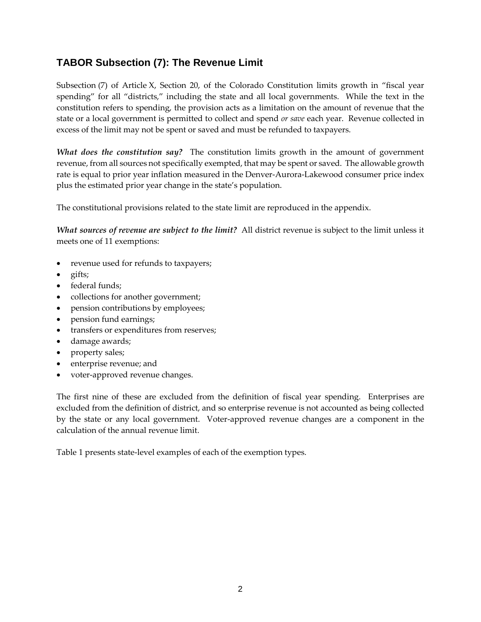## **TABOR Subsection (7): The Revenue Limit**

Subsection (7) of Article X, Section 20, of the Colorado Constitution limits growth in "fiscal year spending" for all "districts," including the state and all local governments. While the text in the constitution refers to spending, the provision acts as a limitation on the amount of revenue that the state or a local government is permitted to collect and spend *or save* each year. Revenue collected in excess of the limit may not be spent or saved and must be refunded to taxpayers.

*What does the constitution say?* The constitution limits growth in the amount of government revenue, from all sources not specifically exempted, that may be spent or saved. The allowable growth rate is equal to prior year inflation measured in the Denver-Aurora-Lakewood consumer price index plus the estimated prior year change in the state's population.

The constitutional provisions related to the state limit are reproduced in the appendix.

*What sources of revenue are subject to the limit?* All district revenue is subject to the limit unless it meets one of 11 exemptions:

- revenue used for refunds to taxpayers;
- gifts;
- federal funds;
- collections for another government;
- pension contributions by employees;
- pension fund earnings;
- transfers or expenditures from reserves;
- damage awards;
- property sales;
- enterprise revenue; and
- voter-approved revenue changes.

The first nine of these are excluded from the definition of fiscal year spending. Enterprises are excluded from the definition of district, and so enterprise revenue is not accounted as being collected by the state or any local government. Voter-approved revenue changes are a component in the calculation of the annual revenue limit.

Table 1 presents state-level examples of each of the exemption types.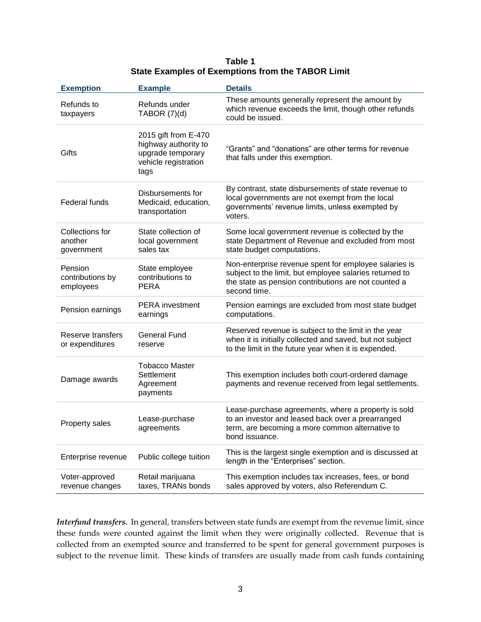| Table 1                                                  |
|----------------------------------------------------------|
| <b>State Examples of Exemptions from the TABOR Limit</b> |

| <b>Exemption</b>                         | <b>Example</b>                                                                                    | <b>Details</b>                                                                                                                                                                           |
|------------------------------------------|---------------------------------------------------------------------------------------------------|------------------------------------------------------------------------------------------------------------------------------------------------------------------------------------------|
| Refunds to<br>taxpayers                  | Refunds under<br>TABOR $(7)(d)$                                                                   | These amounts generally represent the amount by<br>which revenue exceeds the limit, though other refunds<br>could be issued.                                                             |
| Gifts                                    | 2015 gift from E-470<br>highway authority to<br>upgrade temporary<br>vehicle registration<br>tags | "Grants" and "donations" are other terms for revenue<br>that falls under this exemption.                                                                                                 |
| Federal funds                            | Disbursements for<br>Medicaid, education,<br>transportation                                       | By contrast, state disbursements of state revenue to<br>local governments are not exempt from the local<br>governments' revenue limits, unless exempted by<br>voters.                    |
| Collections for<br>another<br>government | State collection of<br>local government<br>sales tax                                              | Some local government revenue is collected by the<br>state Department of Revenue and excluded from most<br>state budget computations.                                                    |
| Pension<br>contributions by<br>employees | State employee<br>contributions to<br><b>PERA</b>                                                 | Non-enterprise revenue spent for employee salaries is<br>subject to the limit, but employee salaries returned to<br>the state as pension contributions are not counted a<br>second time. |
| Pension earnings                         | <b>PERA</b> investment<br>earnings                                                                | Pension earnings are excluded from most state budget<br>computations.                                                                                                                    |
| Reserve transfers<br>or expenditures     | <b>General Fund</b><br>reserve                                                                    | Reserved revenue is subject to the limit in the year<br>when it is initially collected and saved, but not subject<br>to the limit in the future year when it is expended.                |
| Damage awards                            | <b>Tobacco Master</b><br>Settlement<br>Agreement<br>payments                                      | This exemption includes both court-ordered damage<br>payments and revenue received from legal settlements.                                                                               |
| Property sales                           | Lease-purchase<br>agreements                                                                      | Lease-purchase agreements, where a property is sold<br>to an investor and leased back over a prearranged<br>term, are becoming a more common alternative to<br>bond issuance.            |
| Enterprise revenue                       | Public college tuition                                                                            | This is the largest single exemption and is discussed at<br>length in the "Enterprises" section.                                                                                         |
| Voter-approved<br>revenue changes        | Retail marijuana<br>taxes, TRANs bonds                                                            | This exemption includes tax increases, fees, or bond<br>sales approved by voters, also Referendum C.                                                                                     |

*Interfund transfers.* In general, transfers between state funds are exempt from the revenue limit, since these funds were counted against the limit when they were originally collected. Revenue that is collected from an exempted source and transferred to be spent for general government purposes is subject to the revenue limit. These kinds of transfers are usually made from cash funds containing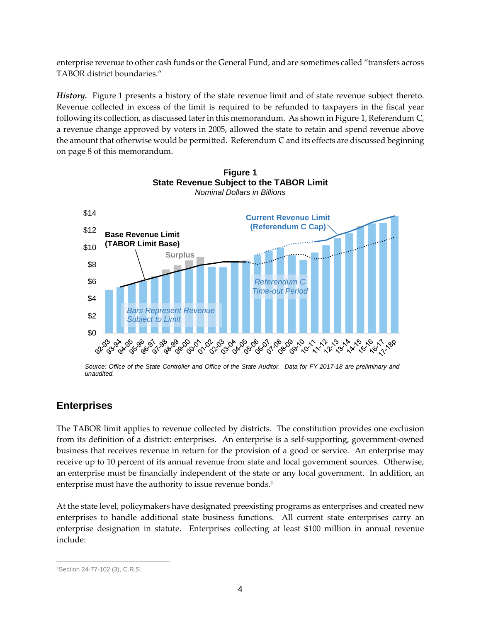enterprise revenue to other cash funds or the General Fund, and are sometimes called "transfers across TABOR district boundaries."

*History.* Figure 1 presents a history of the state revenue limit and of state revenue subject thereto. Revenue collected in excess of the limit is required to be refunded to taxpayers in the fiscal year following its collection, as discussed later in this memorandum. As shown in Figure 1, Referendum C, a revenue change approved by voters in 2005, allowed the state to retain and spend revenue above the amount that otherwise would be permitted. Referendum C and its effects are discussed beginning on page 8 of this memorandum.

**Figure 1**



*Source: Office of the State Controller and Office of the State Auditor. Data for FY 2017-18 are preliminary and unaudited.*

## **Enterprises**

The TABOR limit applies to revenue collected by districts. The constitution provides one exclusion from its definition of a district: enterprises. An enterprise is a self-supporting, government-owned business that receives revenue in return for the provision of a good or service. An enterprise may receive up to 10 percent of its annual revenue from state and local government sources. Otherwise, an enterprise must be financially independent of the state or any local government. In addition, an enterprise must have the authority to issue revenue bonds.<sup>1</sup>

At the state level, policymakers have designated preexisting programs as enterprises and created new enterprises to handle additional state business functions. All current state enterprises carry an enterprise designation in statute. Enterprises collecting at least \$100 million in annual revenue include:

 $\overline{a}$ <sup>1</sup>Section 24-77-102 (3), C.R.S.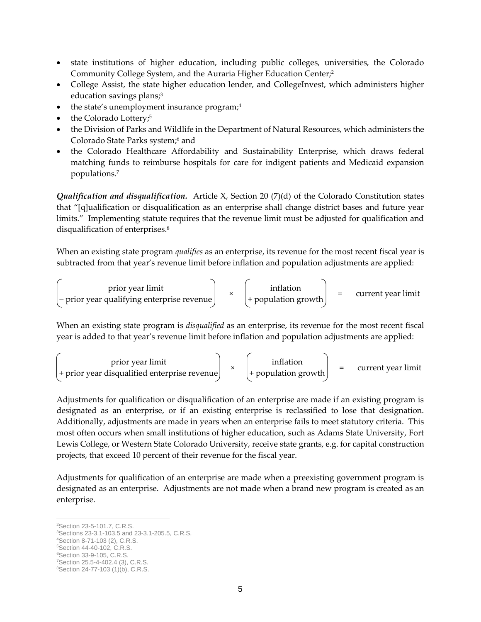- state institutions of higher education, including public colleges, universities, the Colorado Community College System, and the Auraria Higher Education Center;<sup>2</sup>
- College Assist, the state higher education lender, and CollegeInvest, which administers higher education savings plans;<sup>3</sup>
- $\bullet$  the state's unemployment insurance program;<sup>4</sup>
- the Colorado Lottery;<sup>5</sup>
- the Division of Parks and Wildlife in the Department of Natural Resources, which administers the Colorado State Parks system;<sup>6</sup> and
- the Colorado Healthcare Affordability and Sustainability Enterprise, which draws federal matching funds to reimburse hospitals for care for indigent patients and Medicaid expansion populations.<sup>7</sup>

*Qualification and disqualification.* Article X, Section 20 (7)(d) of the Colorado Constitution states that "[q]ualification or disqualification as an enterprise shall change district bases and future year limits." Implementing statute requires that the revenue limit must be adjusted for qualification and disqualification of enterprises.<sup>8</sup>

When an existing state program *qualifies* as an enterprise, its revenue for the most recent fiscal year is subtracted from that year's revenue limit before inflation and population adjustments are applied:

$$
\begin{pmatrix}\n\text{prior year limit} \\
-\text{prior year qualitying enterprise revenue}\n\end{pmatrix}\n\times\n\begin{pmatrix}\n\text{inflation} \\
+\text{population growth}\n\end{pmatrix}\n= \text{current year limit}
$$

When an existing state program is *disqualified* as an enterprise, its revenue for the most recent fiscal year is added to that year's revenue limit before inflation and population adjustments are applied:

$$
\begin{pmatrix}\n\text{prior year limit} \\
\text{prior year displaced enterprise revenue}\n\end{pmatrix}\n\times\n\begin{pmatrix}\n\text{inflation} \\
\text{population growth}\n\end{pmatrix}\n= \text{current year limit}
$$

Adjustments for qualification or disqualification of an enterprise are made if an existing program is designated as an enterprise, or if an existing enterprise is reclassified to lose that designation. Additionally, adjustments are made in years when an enterprise fails to meet statutory criteria. This most often occurs when small institutions of higher education, such as Adams State University, Fort Lewis College, or Western State Colorado University, receive state grants, e.g. for capital construction projects, that exceed 10 percent of their revenue for the fiscal year.

Adjustments for qualification of an enterprise are made when a preexisting government program is designated as an enterprise. Adjustments are not made when a brand new program is created as an enterprise.

<sup>5</sup>Section 44-40-102, C.R.S.

 $\overline{a}$ <sup>2</sup>Section 23-5-101.7, C.R.S.

<sup>3</sup>Sections 23-3.1-103.5 and 23-3.1-205.5, C.R.S.

<sup>4</sup>Section 8-71-103 (2), C.R.S.

<sup>6</sup>Section 33-9-105, C.R.S. <sup>7</sup>Section 25.5-4-402.4 (3), C.R.S.

<sup>8</sup>Section 24-77-103 (1)(b), C.R.S.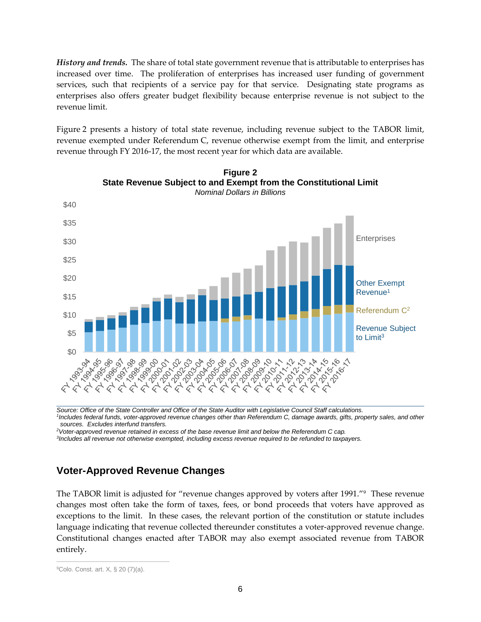*History and trends.* The share of total state government revenue that is attributable to enterprises has increased over time. The proliferation of enterprises has increased user funding of government services, such that recipients of a service pay for that service. Designating state programs as enterprises also offers greater budget flexibility because enterprise revenue is not subject to the revenue limit.

Figure 2 presents a history of total state revenue, including revenue subject to the TABOR limit, revenue exempted under Referendum C, revenue otherwise exempt from the limit, and enterprise revenue through FY 2016-17, the most recent year for which data are available.





<sup>1</sup>Includes federal funds, voter-approved revenue changes other than Referendum C, damage awards, gifts, property sales, and other

*sources. Excludes interfund transfers.*

*<sup>2</sup>Voter-approved revenue retained in excess of the base revenue limit and below the Referendum C cap.*

*3 Includes all revenue not otherwise exempted, including excess revenue required to be refunded to taxpayers.*

## **Voter-Approved Revenue Changes**

The TABOR limit is adjusted for "revenue changes approved by voters after 1991."<sup>9</sup> These revenue changes most often take the form of taxes, fees, or bond proceeds that voters have approved as exceptions to the limit. In these cases, the relevant portion of the constitution or statute includes language indicating that revenue collected thereunder constitutes a voter-approved revenue change. Constitutional changes enacted after TABOR may also exempt associated revenue from TABOR entirely.

 $\overline{a}$ 

<sup>9</sup>Colo. Const. art. X, § 20 (7)(a).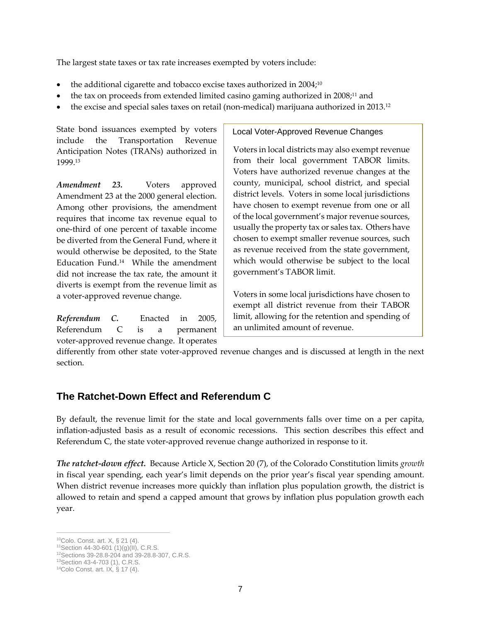The largest state taxes or tax rate increases exempted by voters include:

- the additional cigarette and tobacco excise taxes authorized in 2004;<sup>10</sup>
- the tax on proceeds from extended limited casino gaming authorized in 2008;<sup>11</sup> and
- the excise and special sales taxes on retail (non-medical) marijuana authorized in 2013.<sup>12</sup>

State bond issuances exempted by voters include the Transportation Revenue Anticipation Notes (TRANs) authorized in 1999.<sup>13</sup>

*Amendment 23.* Voters approved Amendment 23 at the 2000 general election. Among other provisions, the amendment requires that income tax revenue equal to one-third of one percent of taxable income be diverted from the General Fund, where it would otherwise be deposited, to the State Education Fund.<sup>14</sup> While the amendment did not increase the tax rate, the amount it diverts is exempt from the revenue limit as a voter-approved revenue change.

*Referendum C.* Enacted in 2005, Referendum C is a permanent voter-approved revenue change. It operates

Local Voter-Approved Revenue Changes

Voters in local districts may also exempt revenue from their local government TABOR limits. Voters have authorized revenue changes at the county, municipal, school district, and special district levels. Voters in some local jurisdictions have chosen to exempt revenue from one or all of the local government's major revenue sources, usually the property tax or sales tax. Others have chosen to exempt smaller revenue sources, such as revenue received from the state government, which would otherwise be subject to the local government's TABOR limit.

Voters in some local jurisdictions have chosen to exempt all district revenue from their TABOR limit, allowing for the retention and spending of an unlimited amount of revenue.

differently from other state voter-approved revenue changes and is discussed at length in the next section.

## **The Ratchet-Down Effect and Referendum C**

By default, the revenue limit for the state and local governments falls over time on a per capita, inflation-adjusted basis as a result of economic recessions. This section describes this effect and Referendum C, the state voter-approved revenue change authorized in response to it.

*The ratchet-down effect.* Because Article X, Section 20 (7), of the Colorado Constitution limits *growth* in fiscal year spending, each year's limit depends on the prior year's fiscal year spending amount. When district revenue increases more quickly than inflation plus population growth, the district is allowed to retain and spend a capped amount that grows by inflation plus population growth each year.

 $\overline{a}$ 

<sup>10</sup>Colo. Const. art. X, § 21 (4).

 $11$ Section 44-30-601 (1)(g)(II), C.R.S.

<sup>12</sup>Sections 39-28.8-204 and 39-28.8-307, C.R.S.

<sup>13</sup>Section 43-4-703 (1), C.R.S.

<sup>14</sup>Colo Const. art. IX, § 17 (4).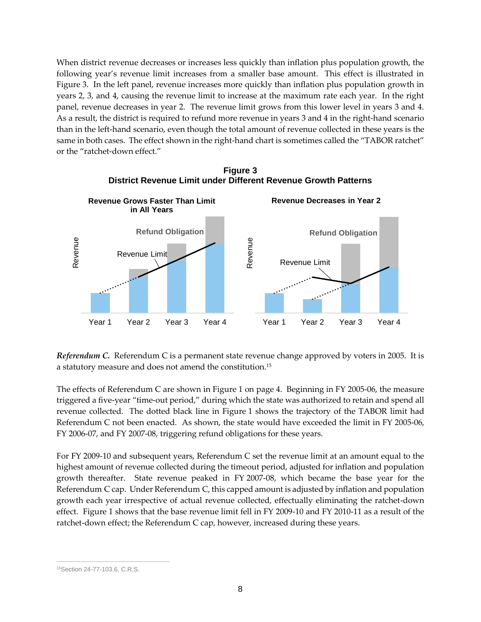When district revenue decreases or increases less quickly than inflation plus population growth, the following year's revenue limit increases from a smaller base amount. This effect is illustrated in Figure 3. In the left panel, revenue increases more quickly than inflation plus population growth in years 2, 3, and 4, causing the revenue limit to increase at the maximum rate each year. In the right panel, revenue decreases in year 2. The revenue limit grows from this lower level in years 3 and 4. As a result, the district is required to refund more revenue in years 3 and 4 in the right-hand scenario than in the left-hand scenario, even though the total amount of revenue collected in these years is the same in both cases. The effect shown in the right-hand chart is sometimes called the "TABOR ratchet" or the "ratchet-down effect."



**Figure 3 District Revenue Limit under Different Revenue Growth Patterns**

*Referendum C.* Referendum C is a permanent state revenue change approved by voters in 2005. It is a statutory measure and does not amend the constitution.<sup>15</sup>

The effects of Referendum C are shown in Figure 1 on page 4. Beginning in FY 2005-06, the measure triggered a five-year "time-out period," during which the state was authorized to retain and spend all revenue collected. The dotted black line in Figure 1 shows the trajectory of the TABOR limit had Referendum C not been enacted. As shown, the state would have exceeded the limit in FY 2005-06, FY 2006-07, and FY 2007-08, triggering refund obligations for these years.

For FY 2009-10 and subsequent years, Referendum C set the revenue limit at an amount equal to the highest amount of revenue collected during the timeout period, adjusted for inflation and population growth thereafter. State revenue peaked in FY 2007-08, which became the base year for the Referendum C cap. Under Referendum C, this capped amount is adjusted by inflation and population growth each year irrespective of actual revenue collected, effectually eliminating the ratchet-down effect. Figure 1 shows that the base revenue limit fell in FY 2009-10 and FY 2010-11 as a result of the ratchet-down effect; the Referendum C cap, however, increased during these years.

 $\overline{a}$ <sup>15</sup>Section 24-77-103.6, C.R.S.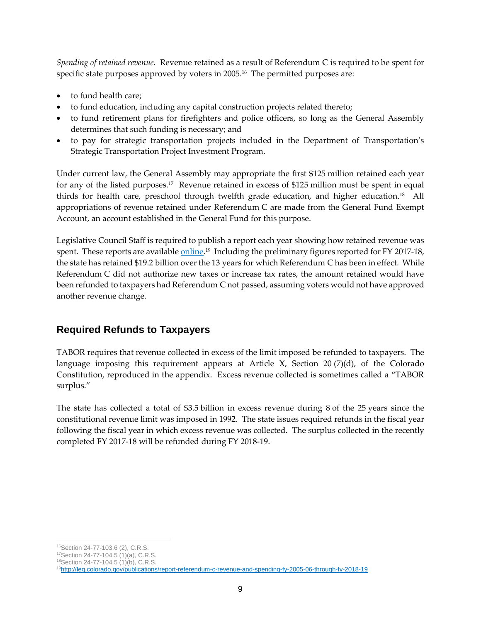*Spending of retained revenue.* Revenue retained as a result of Referendum C is required to be spent for specific state purposes approved by voters in 2005.<sup>16</sup> The permitted purposes are:

- to fund health care;
- to fund education, including any capital construction projects related thereto;
- to fund retirement plans for firefighters and police officers, so long as the General Assembly determines that such funding is necessary; and
- to pay for strategic transportation projects included in the Department of Transportation's Strategic Transportation Project Investment Program.

Under current law, the General Assembly may appropriate the first \$125 million retained each year for any of the listed purposes.<sup>17</sup> Revenue retained in excess of \$125 million must be spent in equal thirds for health care, preschool through twelfth grade education, and higher education.<sup>18</sup> All appropriations of revenue retained under Referendum C are made from the General Fund Exempt Account, an account established in the General Fund for this purpose.

Legislative Council Staff is required to publish a report each year showing how retained revenue was spent. These reports are available <u>online</u>.<sup>19</sup> Including the preliminary figures reported for FY 2017-18, the state has retained \$19.2 billion over the 13 years for which Referendum C has been in effect. While Referendum C did not authorize new taxes or increase tax rates, the amount retained would have been refunded to taxpayers had Referendum C not passed, assuming voters would not have approved another revenue change.

# **Required Refunds to Taxpayers**

TABOR requires that revenue collected in excess of the limit imposed be refunded to taxpayers. The language imposing this requirement appears at Article X, Section 20 (7)(d), of the Colorado Constitution, reproduced in the appendix. Excess revenue collected is sometimes called a "TABOR surplus."

The state has collected a total of \$3.5 billion in excess revenue during 8 of the 25 years since the constitutional revenue limit was imposed in 1992. The state issues required refunds in the fiscal year following the fiscal year in which excess revenue was collected. The surplus collected in the recently completed FY 2017-18 will be refunded during FY 2018-19.

 $\overline{a}$ <sup>16</sup>Section 24-77-103.6 (2), C.R.S.

<sup>17</sup>Section 24-77-104.5 (1)(a), C.R.S.

<sup>18</sup>Section 24-77-104.5 (1)(b), C.R.S.

<sup>19</sup><http://leg.colorado.gov/publications/report-referendum-c-revenue-and-spending-fy-2005-06-through-fy-2018-19>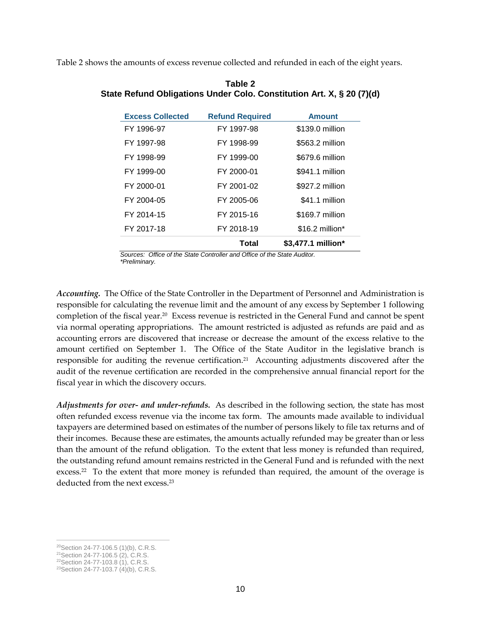Table 2 shows the amounts of excess revenue collected and refunded in each of the eight years.

| <b>Excess Collected</b> | <b>Refund Required</b> | <b>Amount</b>      |
|-------------------------|------------------------|--------------------|
| FY 1996-97              | FY 1997-98             | \$139.0 million    |
| FY 1997-98              | FY 1998-99             | \$563.2 million    |
| FY 1998-99              | FY 1999-00             | \$679.6 million    |
| FY 1999-00              | FY 2000-01             | \$941.1 million    |
| FY 2000-01              | FY 2001-02             | \$927.2 million    |
| FY 2004-05              | FY 2005-06             | \$41.1 million     |
| FY 2014-15              | FY 2015-16             | \$169.7 million    |
| FY 2017-18              | FY 2018-19             | \$16.2 million*    |
|                         | Total                  | \$3,477.1 million* |

**Table 2 State Refund Obligations Under Colo. Constitution Art. X, § 20 (7)(d)**

*Sources: Office of the State Controller and Office of the State Auditor. \*Preliminary.*

*Accounting.* The Office of the State Controller in the Department of Personnel and Administration is responsible for calculating the revenue limit and the amount of any excess by September 1 following completion of the fiscal year.<sup>20</sup> Excess revenue is restricted in the General Fund and cannot be spent via normal operating appropriations. The amount restricted is adjusted as refunds are paid and as accounting errors are discovered that increase or decrease the amount of the excess relative to the amount certified on September 1. The Office of the State Auditor in the legislative branch is responsible for auditing the revenue certification.<sup>21</sup> Accounting adjustments discovered after the audit of the revenue certification are recorded in the comprehensive annual financial report for the fiscal year in which the discovery occurs.

*Adjustments for over- and under-refunds.* As described in the following section, the state has most often refunded excess revenue via the income tax form. The amounts made available to individual taxpayers are determined based on estimates of the number of persons likely to file tax returns and of their incomes. Because these are estimates, the amounts actually refunded may be greater than or less than the amount of the refund obligation. To the extent that less money is refunded than required, the outstanding refund amount remains restricted in the General Fund and is refunded with the next excess.<sup>22</sup> To the extent that more money is refunded than required, the amount of the overage is deducted from the next excess.<sup>23</sup>

 $\overline{a}$ <sup>20</sup>Section 24-77-106.5 (1)(b), C.R.S.

<sup>21</sup>Section 24-77-106.5 (2), C.R.S.

<sup>22</sup>Section 24-77-103.8 (1), C.R.S.

<sup>&</sup>lt;sup>23</sup>Section 24-77-103.7 (4)(b), C.R.S.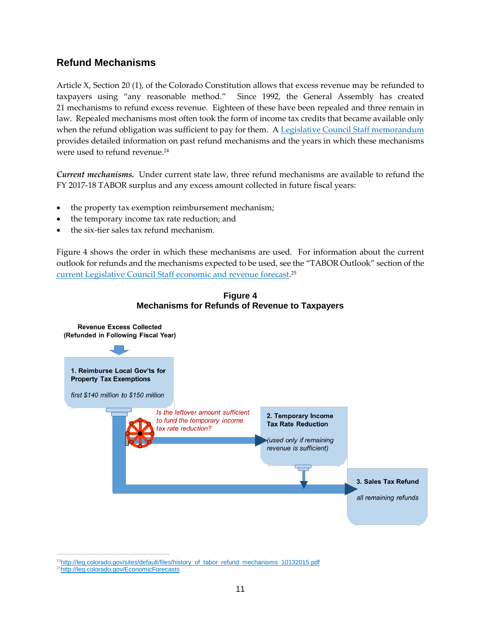## **Refund Mechanisms**

Article X, Section 20 (1), of the Colorado Constitution allows that excess revenue may be refunded to taxpayers using "any reasonable method." Since 1992, the General Assembly has created 21 mechanisms to refund excess revenue. Eighteen of these have been repealed and three remain in law. Repealed mechanisms most often took the form of income tax credits that became available only when the refund obligation was sufficient to pay for them. A [Legislative Council Staff memorandum](http://leg.colorado.gov/sites/default/files/history_of_tabor_refund_mechanisms_10132015.pdf) provides detailed information on past refund mechanisms and the years in which these mechanisms were used to refund revenue.<sup>24</sup>

*Current mechanisms.* Under current state law, three refund mechanisms are available to refund the FY 2017-18 TABOR surplus and any excess amount collected in future fiscal years:

- the property tax exemption reimbursement mechanism;
- the temporary income tax rate reduction; and
- the six-tier sales tax refund mechanism.

Figure 4 shows the order in which these mechanisms are used. For information about the current outlook for refunds and the mechanisms expected to be used, see the "TABOR Outlook" section of the [current Legislative Council Staff economic and revenue forecast.](http://leg.colorado.gov/EconomicForecasts) 25



#### **Figure 4 Mechanisms for Refunds of Revenue to Taxpayers**

 $\overline{a}$ <sup>24</sup>[http://leg.colorado.gov/sites/default/files/history\\_of\\_tabor\\_refund\\_mechanisms\\_10132015.pdf](http://leg.colorado.gov/sites/default/files/history_of_tabor_refund_mechanisms_10132015.pdf) 25<http://leg.colorado.gov/EconomicForecasts>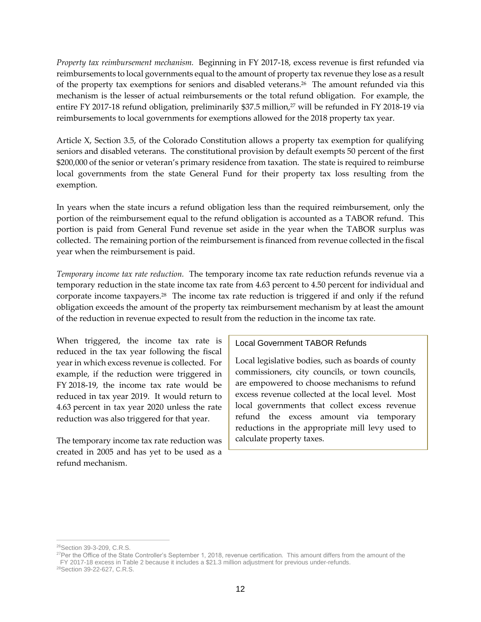*Property tax reimbursement mechanism.* Beginning in FY 2017-18, excess revenue is first refunded via reimbursements to local governments equal to the amount of property tax revenue they lose as a result of the property tax exemptions for seniors and disabled veterans.<sup>26</sup> The amount refunded via this mechanism is the lesser of actual reimbursements or the total refund obligation. For example, the entire FY 2017-18 refund obligation, preliminarily \$37.5 million,<sup>27</sup> will be refunded in FY 2018-19 via reimbursements to local governments for exemptions allowed for the 2018 property tax year.

Article X, Section 3.5, of the Colorado Constitution allows a property tax exemption for qualifying seniors and disabled veterans. The constitutional provision by default exempts 50 percent of the first \$200,000 of the senior or veteran's primary residence from taxation. The state is required to reimburse local governments from the state General Fund for their property tax loss resulting from the exemption.

In years when the state incurs a refund obligation less than the required reimbursement, only the portion of the reimbursement equal to the refund obligation is accounted as a TABOR refund. This portion is paid from General Fund revenue set aside in the year when the TABOR surplus was collected. The remaining portion of the reimbursement is financed from revenue collected in the fiscal year when the reimbursement is paid.

*Temporary income tax rate reduction.* The temporary income tax rate reduction refunds revenue via a temporary reduction in the state income tax rate from 4.63 percent to 4.50 percent for individual and corporate income taxpayers.<sup>28</sup> The income tax rate reduction is triggered if and only if the refund obligation exceeds the amount of the property tax reimbursement mechanism by at least the amount of the reduction in revenue expected to result from the reduction in the income tax rate.

When triggered, the income tax rate is reduced in the tax year following the fiscal year in which excess revenue is collected. For example, if the reduction were triggered in FY 2018-19, the income tax rate would be reduced in tax year 2019. It would return to 4.63 percent in tax year 2020 unless the rate reduction was also triggered for that year.

The temporary income tax rate reduction was created in 2005 and has yet to be used as a refund mechanism.

#### Local Government TABOR Refunds

Local legislative bodies, such as boards of county commissioners, city councils, or town councils, are empowered to choose mechanisms to refund excess revenue collected at the local level. Most local governments that collect excess revenue refund the excess amount via temporary reductions in the appropriate mill levy used to calculate property taxes.

 $\overline{a}$ <sup>26</sup>Section 39-3-209, C.R.S.

<sup>&</sup>lt;sup>27</sup>Per the Office of the State Controller's September 1, 2018, revenue certification. This amount differs from the amount of the FY 2017-18 excess in Table 2 because it includes a \$21.3 million adjustment for previous under-refunds.

<sup>28</sup>Section 39-22-627, C.R.S.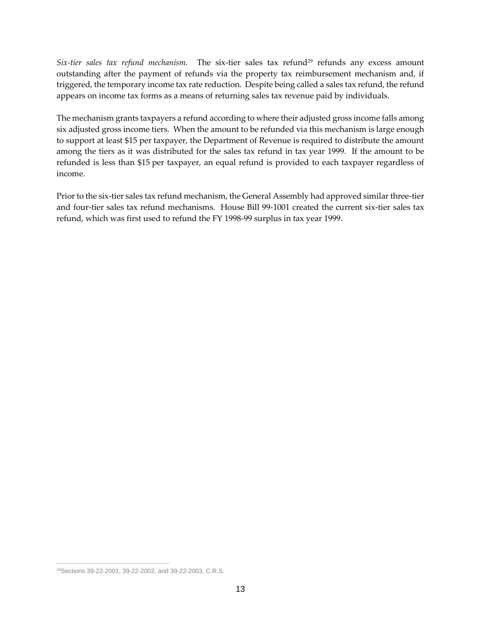*Six-tier sales tax refund mechanism*. The six-tier sales tax refund<sup>29</sup> refunds any excess amount outstanding after the payment of refunds via the property tax reimbursement mechanism and, if triggered, the temporary income tax rate reduction. Despite being called a sales tax refund, the refund appears on income tax forms as a means of returning sales tax revenue paid by individuals.

The mechanism grants taxpayers a refund according to where their adjusted gross income falls among six adjusted gross income tiers. When the amount to be refunded via this mechanism is large enough to support at least \$15 per taxpayer, the Department of Revenue is required to distribute the amount among the tiers as it was distributed for the sales tax refund in tax year 1999. If the amount to be refunded is less than \$15 per taxpayer, an equal refund is provided to each taxpayer regardless of income.

Prior to the six-tier sales tax refund mechanism, the General Assembly had approved similar three-tier and four-tier sales tax refund mechanisms. House Bill 99-1001 created the current six-tier sales tax refund, which was first used to refund the FY 1998-99 surplus in tax year 1999.

 $\overline{a}$ 

<sup>29</sup>Sections 39-22-2001, 39-22-2002, and 39-22-2003, C.R.S.